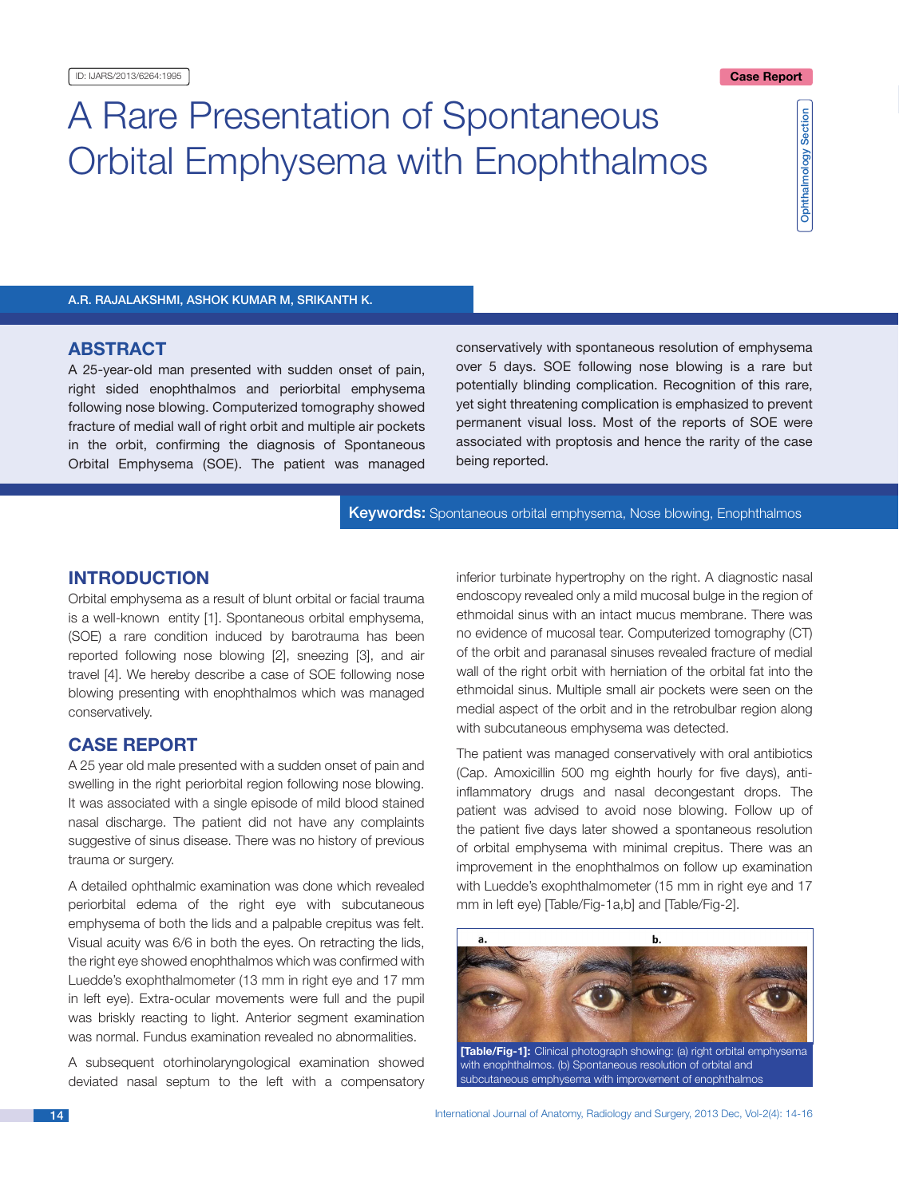# A Rare Presentation of Spontaneous Orbital Emphysema with Enophthalmos

Ophthalmology Section Ophthalmology Section

A.R. Rajalakshmi, Ashok Kumar M, Srikanth K.

# **ABSTRACT**

A 25-year-old man presented with sudden onset of pain, right sided enophthalmos and periorbital emphysema following nose blowing. Computerized tomography showed fracture of medial wall of right orbit and multiple air pockets in the orbit, confirming the diagnosis of Spontaneous Orbital Emphysema (SOE). The patient was managed conservatively with spontaneous resolution of emphysema over 5 days. SOE following nose blowing is a rare but potentially blinding complication. Recognition of this rare, yet sight threatening complication is emphasized to prevent permanent visual loss. Most of the reports of SOE were associated with proptosis and hence the rarity of the case being reported.

**Keywords:** Spontaneous orbital emphysema, Nose blowing, Enophthalmos

# **INTRODUCTION**

Orbital emphysema as a result of blunt orbital or facial trauma is a well-known entity [1]. Spontaneous orbital emphysema, (SOE) a rare condition induced by barotrauma has been reported following nose blowing [2], sneezing [3], and air travel [4]. We hereby describe a case of SOE following nose blowing presenting with enophthalmos which was managed conservatively.

#### **Case report**

A 25 year old male presented with a sudden onset of pain and swelling in the right periorbital region following nose blowing. It was associated with a single episode of mild blood stained nasal discharge. The patient did not have any complaints suggestive of sinus disease. There was no history of previous trauma or surgery.

A detailed ophthalmic examination was done which revealed periorbital edema of the right eye with subcutaneous emphysema of both the lids and a palpable crepitus was felt. Visual acuity was 6/6 in both the eyes. On retracting the lids, the right eye showed enophthalmos which was confirmed with Luedde's exophthalmometer (13 mm in right eye and 17 mm in left eye). Extra-ocular movements were full and the pupil was briskly reacting to light. Anterior segment examination was normal. Fundus examination revealed no abnormalities.

A subsequent otorhinolaryngological examination showed deviated nasal septum to the left with a compensatory inferior turbinate hypertrophy on the right. A diagnostic nasal endoscopy revealed only a mild mucosal bulge in the region of ethmoidal sinus with an intact mucus membrane. There was no evidence of mucosal tear. Computerized tomography (CT) of the orbit and paranasal sinuses revealed fracture of medial wall of the right orbit with herniation of the orbital fat into the ethmoidal sinus. Multiple small air pockets were seen on the medial aspect of the orbit and in the retrobulbar region along with subcutaneous emphysema was detected.

The patient was managed conservatively with oral antibiotics (Cap. Amoxicillin 500 mg eighth hourly for five days), antiinflammatory drugs and nasal decongestant drops. The patient was advised to avoid nose blowing. Follow up of the patient five days later showed a spontaneous resolution of orbital emphysema with minimal crepitus. There was an improvement in the enophthalmos on follow up examination with Luedde's exophthalmometer (15 mm in right eye and 17 mm in left eye) [Table/Fig-1a,b] and [Table/Fig-2].

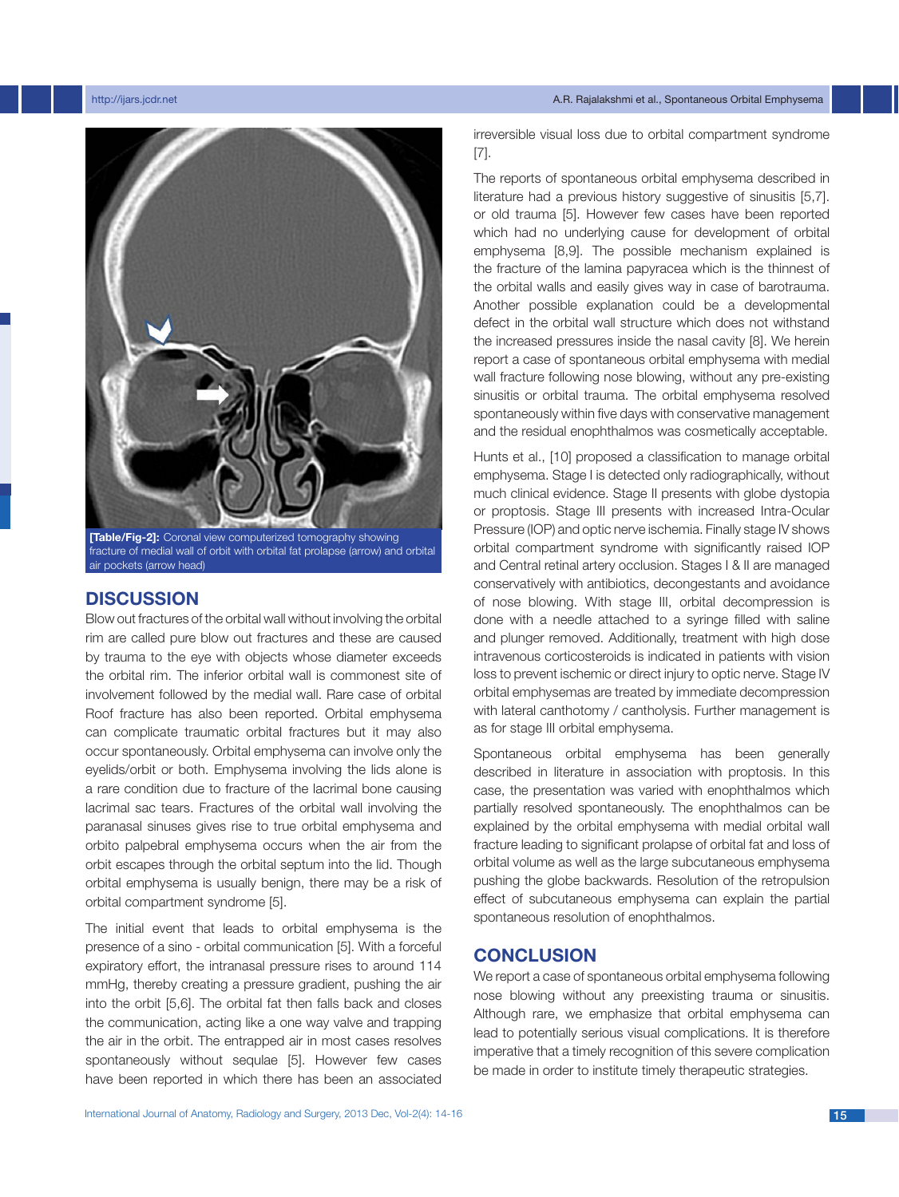http://ijars.jcdr.net A.R. Rajalakshmi et al., Spontaneous Orbital Emphysema



**[Table/Fig-2]:** Coronal view computerized tomography showing fracture of medial wall of orbit with orbital fat prolapse (arrow) and orbital air pockets (arrow head)

## **Discussion**

Blow out fractures of the orbital wall without involving the orbital rim are called pure blow out fractures and these are caused by trauma to the eye with objects whose diameter exceeds the orbital rim. The inferior orbital wall is commonest site of involvement followed by the medial wall. Rare case of orbital Roof fracture has also been reported. Orbital emphysema can complicate traumatic orbital fractures but it may also occur spontaneously. Orbital emphysema can involve only the eyelids/orbit or both. Emphysema involving the lids alone is a rare condition due to fracture of the lacrimal bone causing lacrimal sac tears. Fractures of the orbital wall involving the paranasal sinuses gives rise to true orbital emphysema and orbito palpebral emphysema occurs when the air from the orbit escapes through the orbital septum into the lid. Though orbital emphysema is usually benign, there may be a risk of orbital compartment syndrome [5].

The initial event that leads to orbital emphysema is the presence of a sino - orbital communication [5]. With a forceful expiratory effort, the intranasal pressure rises to around 114 mmHg, thereby creating a pressure gradient, pushing the air into the orbit [5,6]. The orbital fat then falls back and closes the communication, acting like a one way valve and trapping the air in the orbit. The entrapped air in most cases resolves spontaneously without sequlae [5]. However few cases have been reported in which there has been an associated irreversible visual loss due to orbital compartment syndrome [7].

The reports of spontaneous orbital emphysema described in literature had a previous history suggestive of sinusitis [5,7]. or old trauma [5]. However few cases have been reported which had no underlying cause for development of orbital emphysema [8,9]. The possible mechanism explained is the fracture of the lamina papyracea which is the thinnest of the orbital walls and easily gives way in case of barotrauma. Another possible explanation could be a developmental defect in the orbital wall structure which does not withstand the increased pressures inside the nasal cavity [8]. We herein report a case of spontaneous orbital emphysema with medial wall fracture following nose blowing, without any pre-existing sinusitis or orbital trauma. The orbital emphysema resolved spontaneously within five days with conservative management and the residual enophthalmos was cosmetically acceptable.

Hunts et al., [10] proposed a classification to manage orbital emphysema. Stage I is detected only radiographically, without much clinical evidence. Stage II presents with globe dystopia or proptosis. Stage III presents with increased Intra-Ocular Pressure (IOP) and optic nerve ischemia. Finally stage IV shows orbital compartment syndrome with significantly raised IOP and Central retinal artery occlusion. Stages I & II are managed conservatively with antibiotics, decongestants and avoidance of nose blowing. With stage III, orbital decompression is done with a needle attached to a syringe filled with saline and plunger removed. Additionally, treatment with high dose intravenous corticosteroids is indicated in patients with vision loss to prevent ischemic or direct injury to optic nerve. Stage IV orbital emphysemas are treated by immediate decompression with lateral canthotomy / cantholysis. Further management is as for stage III orbital emphysema.

Spontaneous orbital emphysema has been generally described in literature in association with proptosis. In this case, the presentation was varied with enophthalmos which partially resolved spontaneously. The enophthalmos can be explained by the orbital emphysema with medial orbital wall fracture leading to significant prolapse of orbital fat and loss of orbital volume as well as the large subcutaneous emphysema pushing the globe backwards. Resolution of the retropulsion effect of subcutaneous emphysema can explain the partial spontaneous resolution of enophthalmos.

## **Conclusion**

We report a case of spontaneous orbital emphysema following nose blowing without any preexisting trauma or sinusitis. Although rare, we emphasize that orbital emphysema can lead to potentially serious visual complications. It is therefore imperative that a timely recognition of this severe complication be made in order to institute timely therapeutic strategies.